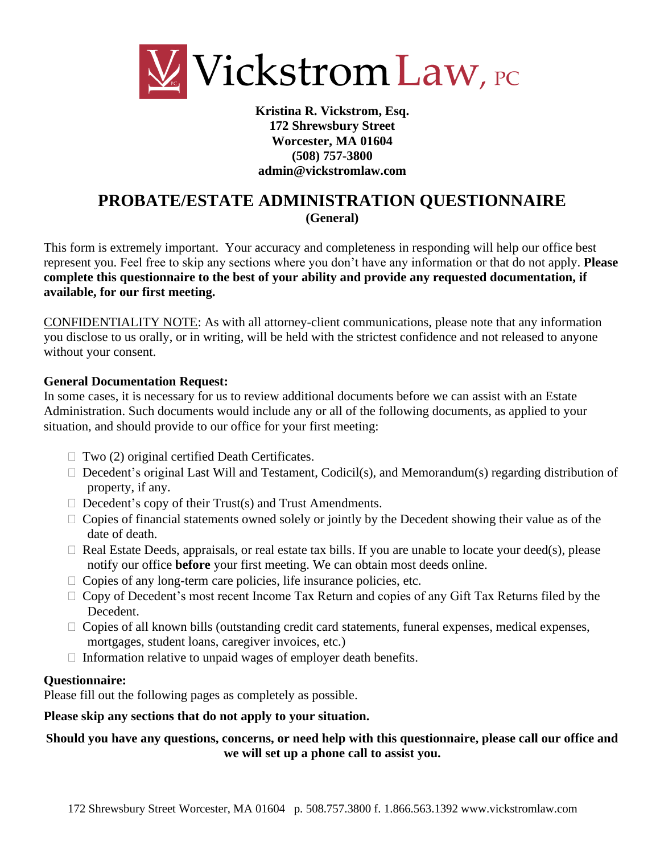

**Kristina R. Vickstrom, Esq. 172 Shrewsbury Street Worcester, MA 01604 (508) 757-3800 admin@vickstromlaw.com**

# **PROBATE/ESTATE ADMINISTRATION QUESTIONNAIRE (General)**

This form is extremely important. Your accuracy and completeness in responding will help our office best represent you. Feel free to skip any sections where you don't have any information or that do not apply. **Please complete this questionnaire to the best of your ability and provide any requested documentation, if available, for our first meeting.** 

CONFIDENTIALITY NOTE: As with all attorney-client communications, please note that any information you disclose to us orally, or in writing, will be held with the strictest confidence and not released to anyone without your consent.

### **General Documentation Request:**

In some cases, it is necessary for us to review additional documents before we can assist with an Estate Administration. Such documents would include any or all of the following documents, as applied to your situation, and should provide to our office for your first meeting:

- $\Box$  Two (2) original certified Death Certificates.
- □ Decedent's original Last Will and Testament, Codicil(s), and Memorandum(s) regarding distribution of property, if any.
- $\Box$  Decedent's copy of their Trust(s) and Trust Amendments.
- $\Box$  Copies of financial statements owned solely or jointly by the Decedent showing their value as of the date of death.
- $\Box$  Real Estate Deeds, appraisals, or real estate tax bills. If you are unable to locate your deed(s), please notify our office **before** your first meeting. We can obtain most deeds online.
- $\Box$  Copies of any long-term care policies, life insurance policies, etc.
- $\Box$  Copy of Decedent's most recent Income Tax Return and copies of any Gift Tax Returns filed by the Decedent.
- $\Box$  Copies of all known bills (outstanding credit card statements, funeral expenses, medical expenses, mortgages, student loans, caregiver invoices, etc.)
- $\Box$  Information relative to unpaid wages of employer death benefits.

#### **Questionnaire:**

Please fill out the following pages as completely as possible.

### **Please skip any sections that do not apply to your situation.**

## **Should you have any questions, concerns, or need help with this questionnaire, please call our office and we will set up a phone call to assist you.**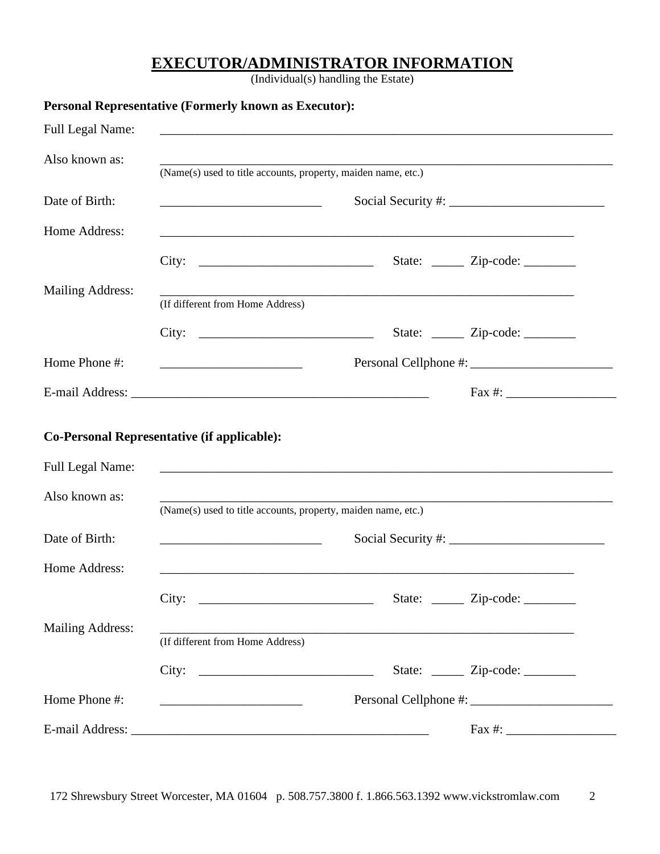## **EXECUTOR/ADMINISTRATOR INFORMATION**

(Individual(s) handling the Estate)

|                         | Personal Representative (Formerly known as Executor):                                                                 |                                                                                                                  |                                         |
|-------------------------|-----------------------------------------------------------------------------------------------------------------------|------------------------------------------------------------------------------------------------------------------|-----------------------------------------|
| Full Legal Name:        |                                                                                                                       |                                                                                                                  |                                         |
| Also known as:          |                                                                                                                       |                                                                                                                  |                                         |
|                         | (Name(s) used to title accounts, property, maiden name, etc.)                                                         |                                                                                                                  |                                         |
| Date of Birth:          | <u> 1989 - Johann Barbara, martin amerikan basar dan berasal dalam basar dalam basar dalam basar dalam basar dala</u> |                                                                                                                  |                                         |
| Home Address:           | ,我们也不会有什么。""我们的人,我们也不会有什么?""我们的人,我们也不会有什么?""我们的人,我们的人,我们也不会有什么?""我们的人,我们的人,我们的人,我                                     |                                                                                                                  |                                         |
|                         | City:                                                                                                                 |                                                                                                                  | State: $\angle$ Zip-code: $\angle$      |
| <b>Mailing Address:</b> |                                                                                                                       | and the control of the control of the control of the control of the control of the control of the control of the |                                         |
|                         | (If different from Home Address)                                                                                      |                                                                                                                  |                                         |
|                         | City: $\qquad \qquad$                                                                                                 |                                                                                                                  | State: <u>______</u> Zip-code: ________ |
| Home Phone #:           |                                                                                                                       |                                                                                                                  |                                         |
|                         |                                                                                                                       |                                                                                                                  |                                         |
|                         | Co-Personal Representative (if applicable):                                                                           |                                                                                                                  |                                         |
| Full Legal Name:        |                                                                                                                       |                                                                                                                  |                                         |
| Also known as:          | (Name(s) used to title accounts, property, maiden name, etc.)                                                         |                                                                                                                  |                                         |
| Date of Birth:          | <u> 2000 - Andrea Andrew Maria (h. 19</u> 80)                                                                         |                                                                                                                  |                                         |
| Home Address:           | <u> 1999 - Johann John Stein, fransk politik (f. 1989)</u>                                                            |                                                                                                                  |                                         |
|                         | City: $\qquad \qquad$                                                                                                 |                                                                                                                  | State: <u>_____</u> Zip-code: _______   |
| <b>Mailing Address:</b> | (If different from Home Address)                                                                                      |                                                                                                                  |                                         |
|                         |                                                                                                                       |                                                                                                                  | State: <u>______</u> Zip-code: ________ |
| Home Phone #:           | <u> 1990 - Johann Barbara, martin amerikan basar personal dan berasal dan berasal dalam basar basar personal dan</u>  |                                                                                                                  |                                         |
|                         |                                                                                                                       |                                                                                                                  |                                         |

172 Shrewsbury Street Worcester, MA 01604 p. 508.757.3800 f. 1.866.563.1392 www.vickstromlaw.com 2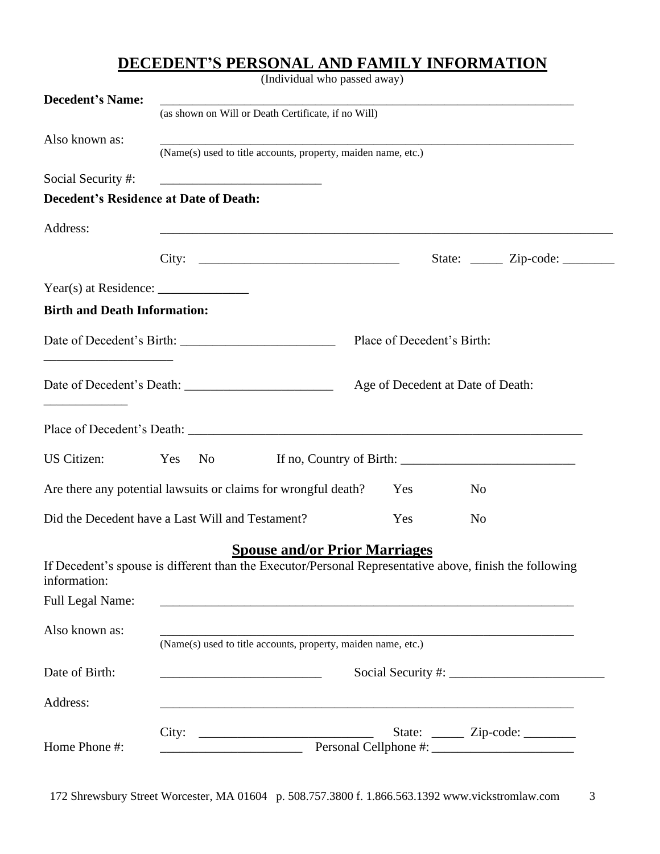# **DECEDENT'S PERSONAL AND FAMILY INFORMATION**

(Individual who passed away)

| <b>Decedent's Name:</b>                              |                                                                                                                                                                                        |                                   |                                                                                                                                                                                                                                                                                                                |
|------------------------------------------------------|----------------------------------------------------------------------------------------------------------------------------------------------------------------------------------------|-----------------------------------|----------------------------------------------------------------------------------------------------------------------------------------------------------------------------------------------------------------------------------------------------------------------------------------------------------------|
|                                                      | (as shown on Will or Death Certificate, if no Will)                                                                                                                                    |                                   |                                                                                                                                                                                                                                                                                                                |
| Also known as:                                       | (Name(s) used to title accounts, property, maiden name, etc.)                                                                                                                          |                                   |                                                                                                                                                                                                                                                                                                                |
| Social Security #:                                   |                                                                                                                                                                                        |                                   |                                                                                                                                                                                                                                                                                                                |
| <b>Decedent's Residence at Date of Death:</b>        |                                                                                                                                                                                        |                                   |                                                                                                                                                                                                                                                                                                                |
| Address:                                             |                                                                                                                                                                                        |                                   |                                                                                                                                                                                                                                                                                                                |
|                                                      | City: $\qquad \qquad \qquad$                                                                                                                                                           |                                   | State: <u>______</u> Zip-code: ________                                                                                                                                                                                                                                                                        |
|                                                      |                                                                                                                                                                                        |                                   |                                                                                                                                                                                                                                                                                                                |
| <b>Birth and Death Information:</b>                  |                                                                                                                                                                                        |                                   |                                                                                                                                                                                                                                                                                                                |
| <u> 1980 - Johann Barn, fransk politik (d. 1980)</u> |                                                                                                                                                                                        | Place of Decedent's Birth:        |                                                                                                                                                                                                                                                                                                                |
|                                                      |                                                                                                                                                                                        | Age of Decedent at Date of Death: |                                                                                                                                                                                                                                                                                                                |
|                                                      |                                                                                                                                                                                        |                                   |                                                                                                                                                                                                                                                                                                                |
| <b>US Citizen:</b>                                   | Yes<br>No new years of the New York of the New York of the New York of the New York of the New York of the New York o                                                                  |                                   | If no, Country of Birth: $\frac{1}{2}$ $\frac{1}{2}$ $\frac{1}{2}$ $\frac{1}{2}$ $\frac{1}{2}$ $\frac{1}{2}$ $\frac{1}{2}$ $\frac{1}{2}$ $\frac{1}{2}$ $\frac{1}{2}$ $\frac{1}{2}$ $\frac{1}{2}$ $\frac{1}{2}$ $\frac{1}{2}$ $\frac{1}{2}$ $\frac{1}{2}$ $\frac{1}{2}$ $\frac{1}{2}$ $\frac{1}{2}$ $\frac{1}{$ |
|                                                      | Are there any potential lawsuits or claims for wrongful death?                                                                                                                         | Yes                               | No                                                                                                                                                                                                                                                                                                             |
|                                                      | Did the Decedent have a Last Will and Testament?                                                                                                                                       | Yes                               | N <sub>0</sub>                                                                                                                                                                                                                                                                                                 |
| information:<br>Full Legal Name:                     | <b>Spouse and/or Prior Marriages</b><br>If Decedent's spouse is different than the Executor/Personal Representative above, finish the following                                        |                                   |                                                                                                                                                                                                                                                                                                                |
| Also known as:                                       | <u> 1989 - John Stoff, deutscher Stoff, der Stoff, deutscher Stoff, der Stoff, der Stoff, der Stoff, der Stoff, d</u><br>(Name(s) used to title accounts, property, maiden name, etc.) |                                   |                                                                                                                                                                                                                                                                                                                |
| Date of Birth:                                       | <u> 2000 - Jan Barbara Barbara, prima popular popular popular popular popular popular popular popular popular po</u>                                                                   |                                   |                                                                                                                                                                                                                                                                                                                |
| Address:                                             |                                                                                                                                                                                        |                                   |                                                                                                                                                                                                                                                                                                                |
| Home Phone #:                                        | City: $\qquad \qquad$<br><u> 1989 - Johann Barn, mars ann an t-Amhair an t-Amhair an t-Amhair an t-Amhair an t-Amhair an t-Amhair an t-Amh</u>                                         |                                   | State: <u>______</u> Zip-code: ________                                                                                                                                                                                                                                                                        |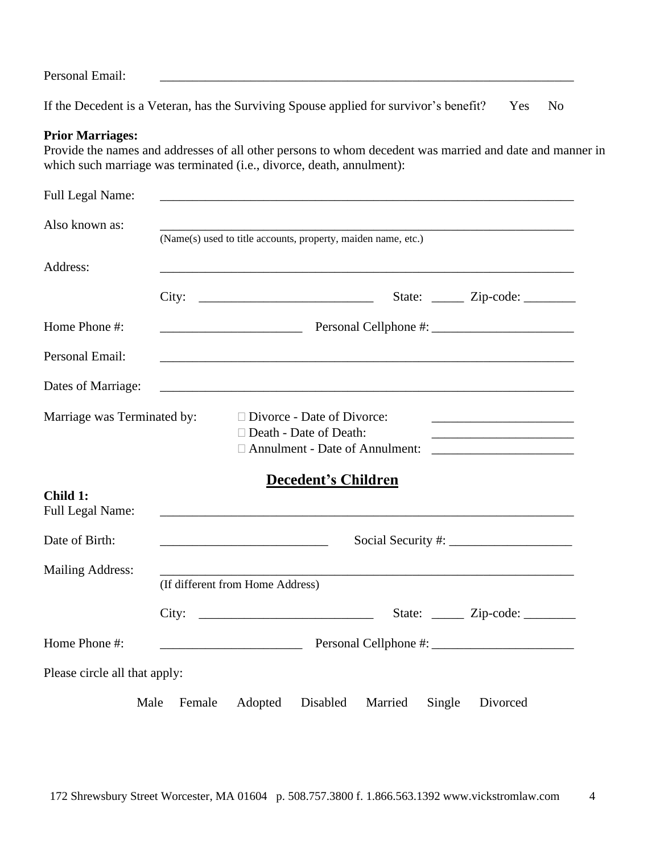Personal Email:

If the Decedent is a Veteran, has the Surviving Spouse applied for survivor's benefit? Yes No

#### **Prior Marriages:**

Provide the names and addresses of all other persons to whom decedent was married and date and manner in which such marriage was terminated (i.e., divorce, death, annulment):

| Full Legal Name:              |                                                                                                                                                |
|-------------------------------|------------------------------------------------------------------------------------------------------------------------------------------------|
| Also known as:                | (Name(s) used to title accounts, property, maiden name, etc.)                                                                                  |
| Address:                      |                                                                                                                                                |
|                               | City:<br>State: <u>_____</u> Zip-code: _______                                                                                                 |
| Home Phone #:                 |                                                                                                                                                |
| Personal Email:               |                                                                                                                                                |
| Dates of Marriage:            |                                                                                                                                                |
| Marriage was Terminated by:   | □ Divorce - Date of Divorce:<br>$\Box$ Death - Date of Death:<br>□ Annulment - Date of Annulment:                                              |
| Child 1:<br>Full Legal Name:  | <b>Decedent's Children</b><br>and the control of the control of the control of the control of the control of the control of the control of the |
| Date of Birth:                |                                                                                                                                                |
| <b>Mailing Address:</b>       | (If different from Home Address)                                                                                                               |
|                               | State: <u>_____</u> Zip-code: _______                                                                                                          |
| Home Phone #:                 | <u> 1990 - Johann Barbara, martin a</u>                                                                                                        |
| Please circle all that apply: |                                                                                                                                                |
|                               | Male<br>Adopted<br>Disabled<br>Single<br>Divorced<br>Female<br>Married                                                                         |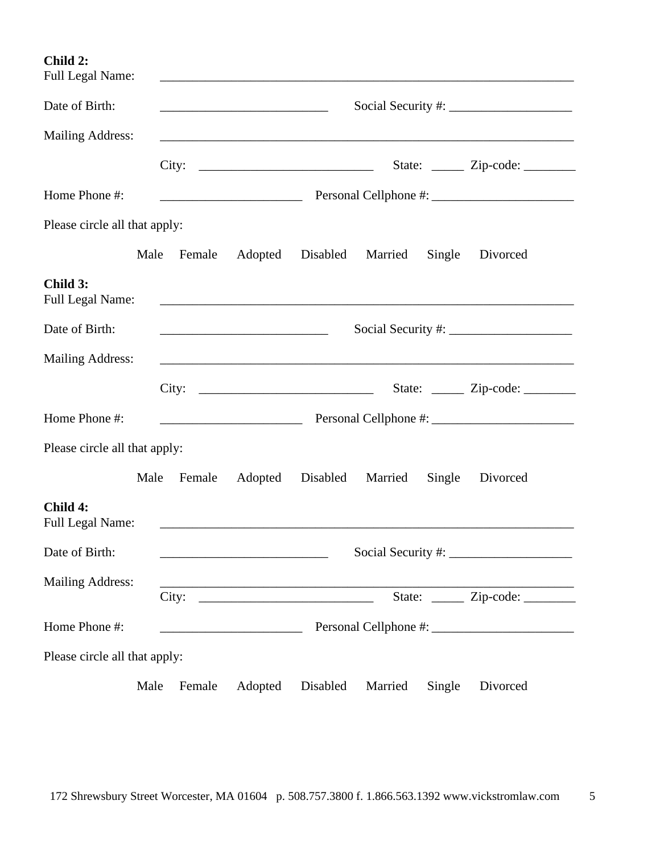**Child 2:**

| <b>Full Legal Name:</b>             |                |                                                                                                                                                                                                                                                                                                                                                                                                                           |          |                  |        |                                          |  |  |
|-------------------------------------|----------------|---------------------------------------------------------------------------------------------------------------------------------------------------------------------------------------------------------------------------------------------------------------------------------------------------------------------------------------------------------------------------------------------------------------------------|----------|------------------|--------|------------------------------------------|--|--|
| Date of Birth:                      |                | Social Security #: $\frac{1}{2}$ = $\frac{1}{2}$ = $\frac{1}{2}$ = $\frac{1}{2}$ = $\frac{1}{2}$ = $\frac{1}{2}$ = $\frac{1}{2}$ = $\frac{1}{2}$ = $\frac{1}{2}$ = $\frac{1}{2}$ = $\frac{1}{2}$ = $\frac{1}{2}$ = $\frac{1}{2}$ = $\frac{1}{2}$ = $\frac{1}{2}$ = $\frac{1}{2}$ = $\frac{1}{2}$<br><u> 1989 - Johann Barbara, martin da basar da basar da basar da basar da basar da basar da basar da basar da basa</u> |          |                  |        |                                          |  |  |
| <b>Mailing Address:</b>             |                |                                                                                                                                                                                                                                                                                                                                                                                                                           |          |                  |        |                                          |  |  |
|                                     |                | City:                                                                                                                                                                                                                                                                                                                                                                                                                     |          |                  |        | State: <u>______</u> Zip-code: _________ |  |  |
| Home Phone #:                       |                | <u> 1989 - Johann John Harry Harry Harry Harry Harry Harry Harry Harry Harry Harry Harry Harry Harry Harry Harry H</u>                                                                                                                                                                                                                                                                                                    |          |                  |        |                                          |  |  |
| Please circle all that apply:       |                |                                                                                                                                                                                                                                                                                                                                                                                                                           |          |                  |        |                                          |  |  |
|                                     | Male<br>Female | Adopted                                                                                                                                                                                                                                                                                                                                                                                                                   |          | Disabled Married | Single | Divorced                                 |  |  |
| Child 3:<br><b>Full Legal Name:</b> |                |                                                                                                                                                                                                                                                                                                                                                                                                                           |          |                  |        |                                          |  |  |
| Date of Birth:                      |                |                                                                                                                                                                                                                                                                                                                                                                                                                           |          |                  |        |                                          |  |  |
| <b>Mailing Address:</b>             |                |                                                                                                                                                                                                                                                                                                                                                                                                                           |          |                  |        |                                          |  |  |
|                                     |                | City:                                                                                                                                                                                                                                                                                                                                                                                                                     |          |                  |        | State: ______ Zip-code: _______          |  |  |
| Home Phone #:                       |                |                                                                                                                                                                                                                                                                                                                                                                                                                           |          |                  |        |                                          |  |  |
| Please circle all that apply:       |                |                                                                                                                                                                                                                                                                                                                                                                                                                           |          |                  |        |                                          |  |  |
|                                     | Male<br>Female | Adopted                                                                                                                                                                                                                                                                                                                                                                                                                   |          | Disabled Married | Single | Divorced                                 |  |  |
| Child 4:<br><b>Full Legal Name:</b> |                | <u> 1980 - Jan Barat, margaret al II-lea (b. 1980)</u>                                                                                                                                                                                                                                                                                                                                                                    |          |                  |        |                                          |  |  |
| Date of Birth:                      |                | <u> 2002 - Johann John Stone, fransk politik (d. 19</u>                                                                                                                                                                                                                                                                                                                                                                   |          |                  |        | $\sum$ Social Security #: $\sum$         |  |  |
| <b>Mailing Address:</b>             |                | City:                                                                                                                                                                                                                                                                                                                                                                                                                     |          |                  |        | State: <u>_____</u> Zip-code: _______    |  |  |
| Home Phone #:                       |                |                                                                                                                                                                                                                                                                                                                                                                                                                           |          |                  |        |                                          |  |  |
| Please circle all that apply:       |                |                                                                                                                                                                                                                                                                                                                                                                                                                           |          |                  |        |                                          |  |  |
|                                     | Male<br>Female | Adopted                                                                                                                                                                                                                                                                                                                                                                                                                   | Disabled | Married          | Single | Divorced                                 |  |  |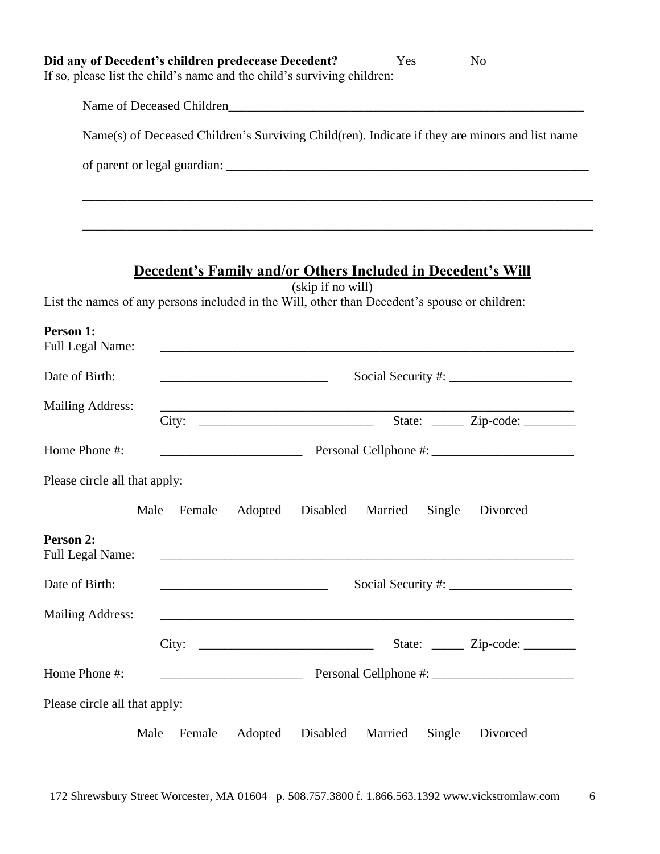|                               | Did any of Decedent's children predecease Decedent?<br>If so, please list the child's name and the child's surviving children: | Yes                                                                                                                                                                                                                                  | N <sub>0</sub>                         |
|-------------------------------|--------------------------------------------------------------------------------------------------------------------------------|--------------------------------------------------------------------------------------------------------------------------------------------------------------------------------------------------------------------------------------|----------------------------------------|
|                               |                                                                                                                                |                                                                                                                                                                                                                                      |                                        |
|                               |                                                                                                                                | Name(s) of Deceased Children's Surviving Child(ren). Indicate if they are minors and list name                                                                                                                                       |                                        |
|                               |                                                                                                                                |                                                                                                                                                                                                                                      |                                        |
|                               |                                                                                                                                |                                                                                                                                                                                                                                      |                                        |
|                               |                                                                                                                                |                                                                                                                                                                                                                                      |                                        |
|                               |                                                                                                                                | <b>Decedent's Family and/or Others Included in Decedent's Will</b><br>(skip if no will)<br>List the names of any persons included in the Will, other than Decedent's spouse or children:                                             |                                        |
| Person 1:<br>Full Legal Name: |                                                                                                                                |                                                                                                                                                                                                                                      |                                        |
| Date of Birth:                | <u> 1989 - Johann Harry Harry Harry Harry Harry Harry Harry Harry Harry Harry Harry Harry Harry Harry Harry Harry</u>          |                                                                                                                                                                                                                                      |                                        |
| <b>Mailing Address:</b>       | City:                                                                                                                          | <u> 1949 - Johann John Harry John Harry John Harry John Harry John Harry John Harry John Harry John Harry John Harry John Harry John Harry John Harry John Harry John Harry John Harry John Harry John Harry John Harry John Har</u> | State: <u>_____</u> Zip-code: _______  |
| Home Phone #:                 |                                                                                                                                |                                                                                                                                                                                                                                      |                                        |
| Please circle all that apply: |                                                                                                                                |                                                                                                                                                                                                                                      |                                        |
| Male                          | Female<br>Adopted                                                                                                              | Disabled<br>Married<br>Single                                                                                                                                                                                                        | Divorced                               |
| Person 2:<br>Full Legal Name: |                                                                                                                                |                                                                                                                                                                                                                                      |                                        |
| Date of Birth:                |                                                                                                                                |                                                                                                                                                                                                                                      |                                        |
| <b>Mailing Address:</b>       |                                                                                                                                |                                                                                                                                                                                                                                      |                                        |
|                               | City:                                                                                                                          |                                                                                                                                                                                                                                      | State: <u>_____</u> Zip-code: ________ |
| Home Phone #:                 | <u> 1989 - Jan Barbara Barat, politik a</u>                                                                                    |                                                                                                                                                                                                                                      |                                        |
| Please circle all that apply: |                                                                                                                                |                                                                                                                                                                                                                                      |                                        |
| Male                          | Adopted<br>Female                                                                                                              | Disabled<br>Married<br>Single                                                                                                                                                                                                        | Divorced                               |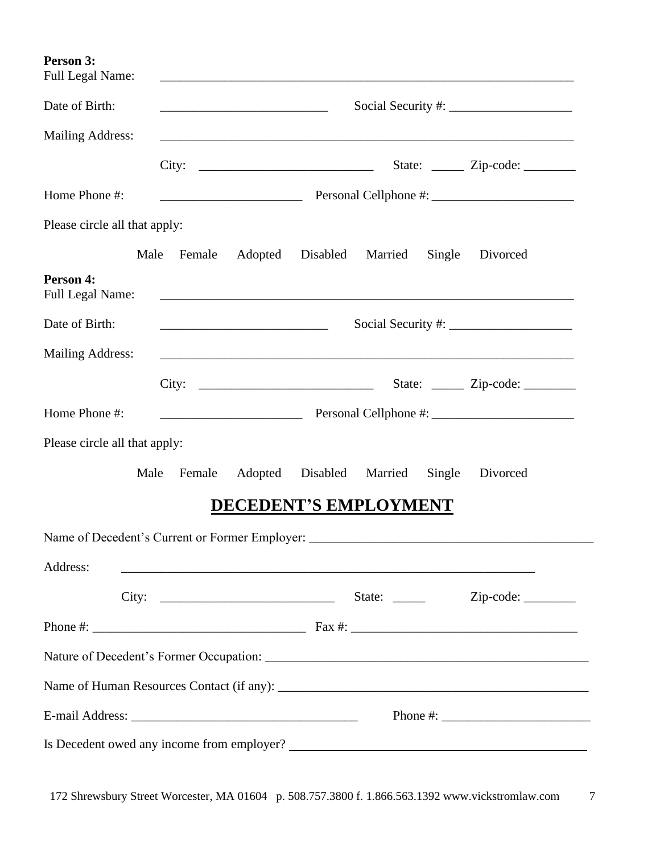**Person 3:** Full Legal Name: Date of Birth: \_\_\_\_\_\_\_\_\_\_\_\_\_\_\_\_\_\_\_\_\_\_\_\_\_\_ Social Security #: \_\_\_\_\_\_\_\_\_\_\_\_\_\_\_\_\_\_\_ Mailing Address: City: \_\_\_\_\_\_\_\_\_\_\_\_\_\_\_\_\_\_\_\_\_\_\_\_\_\_\_ State: \_\_\_\_\_ Zip-code: \_\_\_\_\_\_\_\_ Home Phone #: \_\_\_\_\_\_\_\_\_\_\_\_\_\_\_\_\_\_\_\_\_\_ Personal Cellphone #: \_\_\_\_\_\_\_\_\_\_\_\_\_\_\_\_\_\_\_\_\_\_ Please circle all that apply: Male Female Adopted Disabled Married Single Divorced **Person 4:** Full Legal Name: \_\_\_\_\_\_\_\_\_\_\_\_\_\_\_\_\_\_\_\_\_\_\_\_\_\_\_\_\_\_\_\_\_\_\_\_\_\_\_\_\_\_\_\_\_\_\_\_\_\_\_\_\_\_\_\_\_\_\_\_\_\_\_\_ Date of Birth: \_\_\_\_\_\_\_\_\_\_\_\_\_\_\_\_\_\_\_\_\_\_\_\_\_\_ Social Security #: \_\_\_\_\_\_\_\_\_\_\_\_\_\_\_\_\_\_\_ Mailing Address: City: \_\_\_\_\_\_\_\_\_\_\_\_\_\_\_\_\_\_\_\_\_\_\_\_\_\_\_ State: \_\_\_\_\_ Zip-code: \_\_\_\_\_\_\_\_ Home Phone #: \_\_\_\_\_\_\_\_\_\_\_\_\_\_\_\_\_\_\_\_\_\_ Personal Cellphone #: \_\_\_\_\_\_\_\_\_\_\_\_\_\_\_\_\_\_\_\_\_\_ Please circle all that apply: Male Female Adopted Disabled Married Single Divorced **DECEDENT'S EMPLOYMENT** Name of Decedent's Current or Former Employer: \_\_\_\_\_\_\_\_\_\_\_\_\_\_\_\_\_\_\_\_\_\_\_\_\_\_\_\_\_\_\_\_\_\_\_\_\_\_\_\_\_\_\_\_ Address: City: \_\_\_\_\_\_\_\_\_\_\_\_\_\_\_\_\_\_\_\_\_\_\_\_\_\_\_ State: \_\_\_\_\_ Zip-code: \_\_\_\_\_\_\_\_ Phone #: \_\_\_\_\_\_\_\_\_\_\_\_\_\_\_\_\_\_\_\_\_\_\_\_\_\_\_\_\_\_\_\_\_ Fax #: \_\_\_\_\_\_\_\_\_\_\_\_\_\_\_\_\_\_\_\_\_\_\_\_\_\_\_\_\_\_\_\_\_\_\_ Nature of Decedent's Former Occupation: \_\_\_\_\_\_\_\_\_\_\_\_\_\_\_\_\_\_\_\_\_\_\_\_\_\_\_\_\_\_\_\_\_\_\_\_\_\_\_\_\_\_\_\_\_\_\_\_\_\_ Name of Human Resources Contact (if any): \_\_\_\_\_\_\_\_\_\_\_\_\_\_\_\_\_\_\_\_\_\_\_\_\_\_\_\_\_\_\_\_\_\_\_\_\_\_\_\_\_\_\_\_\_\_\_\_ E-mail Address: \_\_\_\_\_\_\_\_\_\_\_\_\_\_\_\_\_\_\_\_\_\_\_\_\_\_\_\_\_\_\_\_\_\_\_ Phone #: \_\_\_\_\_\_\_\_\_\_\_\_\_\_\_\_\_\_\_\_\_\_\_

Is Decedent owed any income from employer?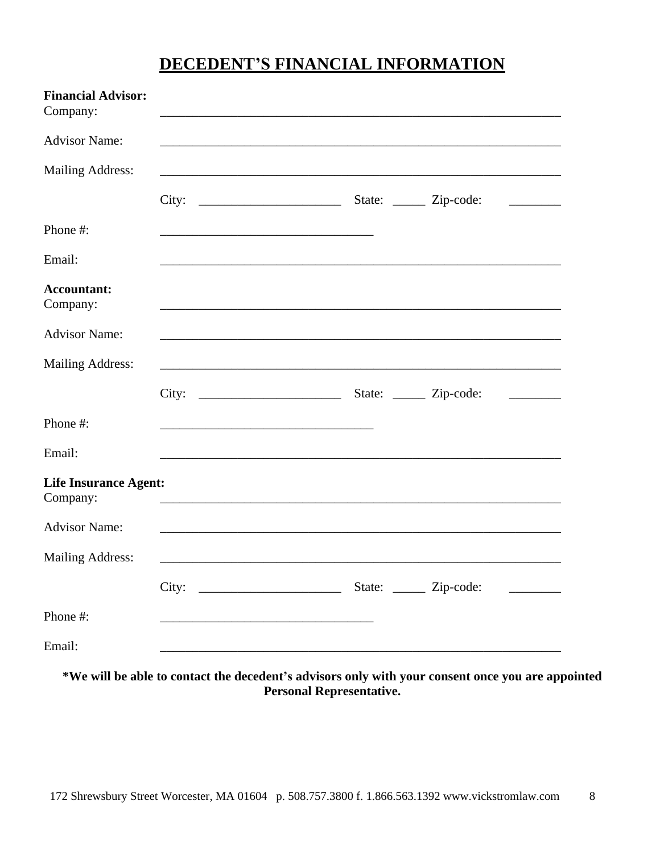# DECEDENT'S FINANCIAL INFORMATION

| <b>Financial Advisor:</b><br>Company:    |  |                                                                                                                                                                                                                               |                          |
|------------------------------------------|--|-------------------------------------------------------------------------------------------------------------------------------------------------------------------------------------------------------------------------------|--------------------------|
| <b>Advisor Name:</b>                     |  |                                                                                                                                                                                                                               |                          |
| <b>Mailing Address:</b>                  |  |                                                                                                                                                                                                                               |                          |
|                                          |  |                                                                                                                                                                                                                               | <b>Contract Contract</b> |
| Phone #:                                 |  |                                                                                                                                                                                                                               |                          |
| Email:                                   |  | ,我们也不能在这里的时候,我们也不能在这里的时候,我们也不能会在这里的时候,我们也不能会在这里的时候,我们也不能会在这里的时候,我们也不能会在这里的时候,我们也不                                                                                                                                             |                          |
| <b>Accountant:</b><br>Company:           |  |                                                                                                                                                                                                                               |                          |
| <b>Advisor Name:</b>                     |  |                                                                                                                                                                                                                               |                          |
| <b>Mailing Address:</b>                  |  | ,我们也不会有什么。""我们的人,我们也不会有什么?""我们的人,我们也不会有什么?""我们的人,我们也不会有什么?""我们的人,我们也不会有什么?""我们的人                                                                                                                                              |                          |
|                                          |  | City: City: City: City: City: City: City: City: City: City: City: City: City: City: City: City: City: City: City: City: City: City: City: City: City: City: City: City: City: City: City: City: City: City: City: City: City: |                          |
| Phone #:                                 |  |                                                                                                                                                                                                                               |                          |
| Email:                                   |  |                                                                                                                                                                                                                               |                          |
| <b>Life Insurance Agent:</b><br>Company: |  |                                                                                                                                                                                                                               |                          |
| <b>Advisor Name:</b>                     |  |                                                                                                                                                                                                                               |                          |
| <b>Mailing Address:</b>                  |  |                                                                                                                                                                                                                               |                          |
|                                          |  |                                                                                                                                                                                                                               |                          |
| Phone #:                                 |  |                                                                                                                                                                                                                               |                          |
| Email:                                   |  |                                                                                                                                                                                                                               |                          |

\*We will be able to contact the decedent's advisors only with your consent once you are appointed **Personal Representative.**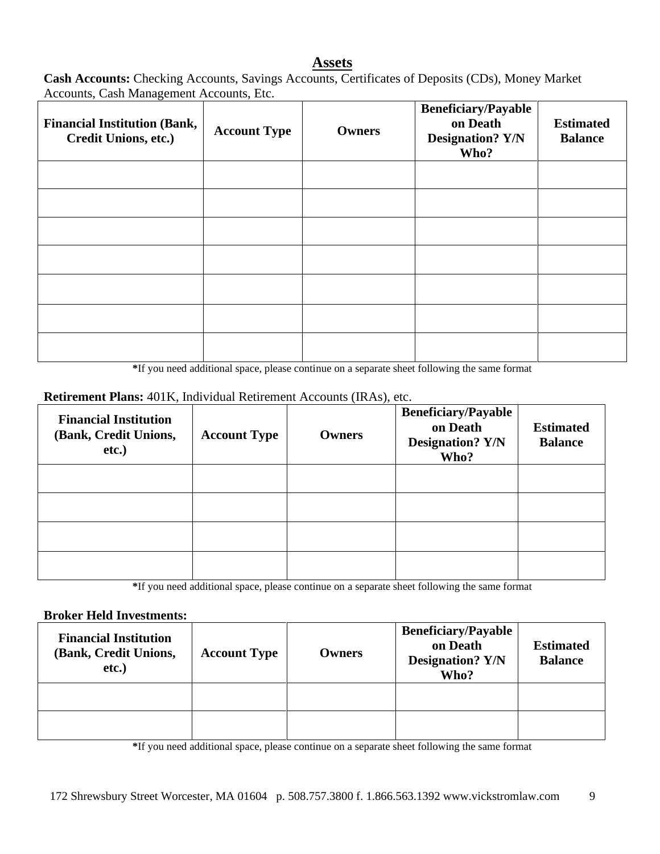#### **Assets**

**Cash Accounts:** Checking Accounts, Savings Accounts, Certificates of Deposits (CDs), Money Market Accounts, Cash Management Accounts, Etc.

| <b>Financial Institution (Bank,</b><br>Credit Unions, etc.) | <b>Account Type</b> | <b>Owners</b> | <b>Beneficiary/Payable</b><br>on Death<br><b>Designation? Y/N</b><br>Who? | <b>Estimated</b><br><b>Balance</b> |
|-------------------------------------------------------------|---------------------|---------------|---------------------------------------------------------------------------|------------------------------------|
|                                                             |                     |               |                                                                           |                                    |
|                                                             |                     |               |                                                                           |                                    |
|                                                             |                     |               |                                                                           |                                    |
|                                                             |                     |               |                                                                           |                                    |
|                                                             |                     |               |                                                                           |                                    |
|                                                             |                     |               |                                                                           |                                    |
|                                                             |                     |               |                                                                           |                                    |

**\***If you need additional space, please continue on a separate sheet following the same format

#### **Retirement Plans:** 401K, Individual Retirement Accounts (IRAs), etc.

| <b>Financial Institution</b><br>(Bank, Credit Unions,<br>etc.) | <b>Account Type</b> | <b>Owners</b> | <b>Beneficiary/Payable</b><br>on Death<br><b>Designation? Y/N</b><br>Who? | <b>Estimated</b><br><b>Balance</b> |
|----------------------------------------------------------------|---------------------|---------------|---------------------------------------------------------------------------|------------------------------------|
|                                                                |                     |               |                                                                           |                                    |
|                                                                |                     |               |                                                                           |                                    |
|                                                                |                     |               |                                                                           |                                    |
|                                                                |                     |               |                                                                           |                                    |

**\***If you need additional space, please continue on a separate sheet following the same format

#### **Broker Held Investments:**

| <b>Financial Institution</b><br>(Bank, Credit Unions,<br>etc.) | <b>Account Type</b> | <b>Owners</b> | <b>Beneficiary/Payable</b><br>on Death<br><b>Designation? Y/N</b><br>Who? | <b>Estimated</b><br><b>Balance</b> |
|----------------------------------------------------------------|---------------------|---------------|---------------------------------------------------------------------------|------------------------------------|
|                                                                |                     |               |                                                                           |                                    |
|                                                                |                     |               |                                                                           |                                    |

**\***If you need additional space, please continue on a separate sheet following the same format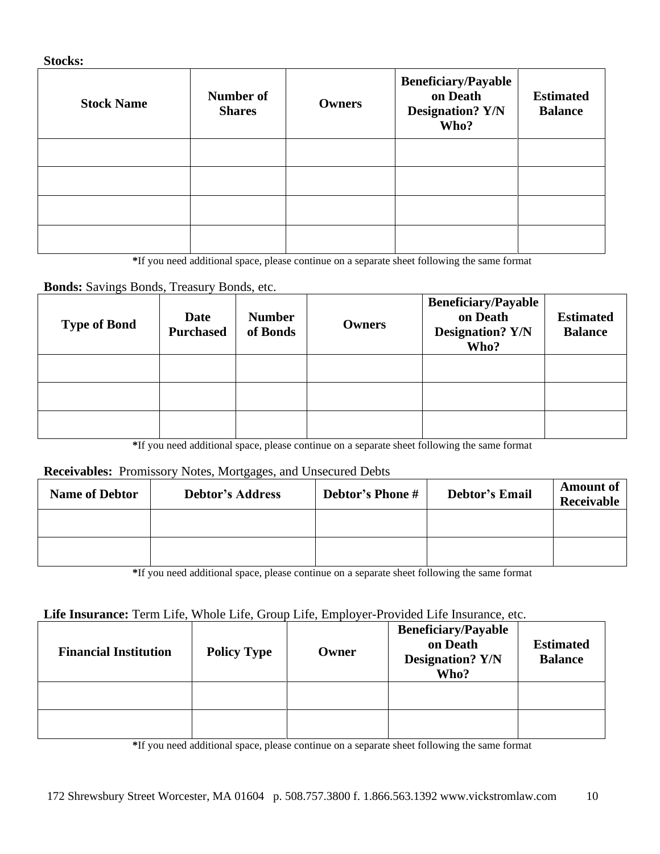#### **Stocks:**

| <b>Stock Name</b> | Number of<br><b>Shares</b> | <b>Owners</b> | <b>Beneficiary/Payable</b><br>on Death<br><b>Designation? Y/N</b><br>Who? | <b>Estimated</b><br><b>Balance</b> |
|-------------------|----------------------------|---------------|---------------------------------------------------------------------------|------------------------------------|
|                   |                            |               |                                                                           |                                    |
|                   |                            |               |                                                                           |                                    |
|                   |                            |               |                                                                           |                                    |
|                   |                            |               |                                                                           |                                    |

**\***If you need additional space, please continue on a separate sheet following the same format

### **Bonds:** Savings Bonds, Treasury Bonds, etc.

| <b>Type of Bond</b> | <b>Date</b><br><b>Purchased</b> | <b>Number</b><br>of Bonds | <b>Owners</b> | <b>Beneficiary/Payable</b><br>on Death<br><b>Designation? Y/N</b><br>Who? | <b>Estimated</b><br><b>Balance</b> |
|---------------------|---------------------------------|---------------------------|---------------|---------------------------------------------------------------------------|------------------------------------|
|                     |                                 |                           |               |                                                                           |                                    |
|                     |                                 |                           |               |                                                                           |                                    |
|                     |                                 |                           |               |                                                                           |                                    |

**\***If you need additional space, please continue on a separate sheet following the same format

#### **Receivables:** Promissory Notes, Mortgages, and Unsecured Debts

| <b>Name of Debtor</b> | <b>Debtor's Address</b> | <b>Debtor's Phone #</b> | <b>Debtor's Email</b> | <b>Amount of</b><br>Receivable |
|-----------------------|-------------------------|-------------------------|-----------------------|--------------------------------|
|                       |                         |                         |                       |                                |
|                       |                         |                         |                       |                                |

**\***If you need additional space, please continue on a separate sheet following the same format

#### **Life Insurance:** Term Life, Whole Life, Group Life, Employer-Provided Life Insurance, etc.

| <b>Financial Institution</b> | <b>Policy Type</b> | Owner | <b>Beneficiary/Payable</b><br>on Death<br><b>Designation? Y/N</b><br>Who? | <b>Estimated</b><br><b>Balance</b> |
|------------------------------|--------------------|-------|---------------------------------------------------------------------------|------------------------------------|
|                              |                    |       |                                                                           |                                    |
|                              |                    |       |                                                                           |                                    |

**\***If you need additional space, please continue on a separate sheet following the same format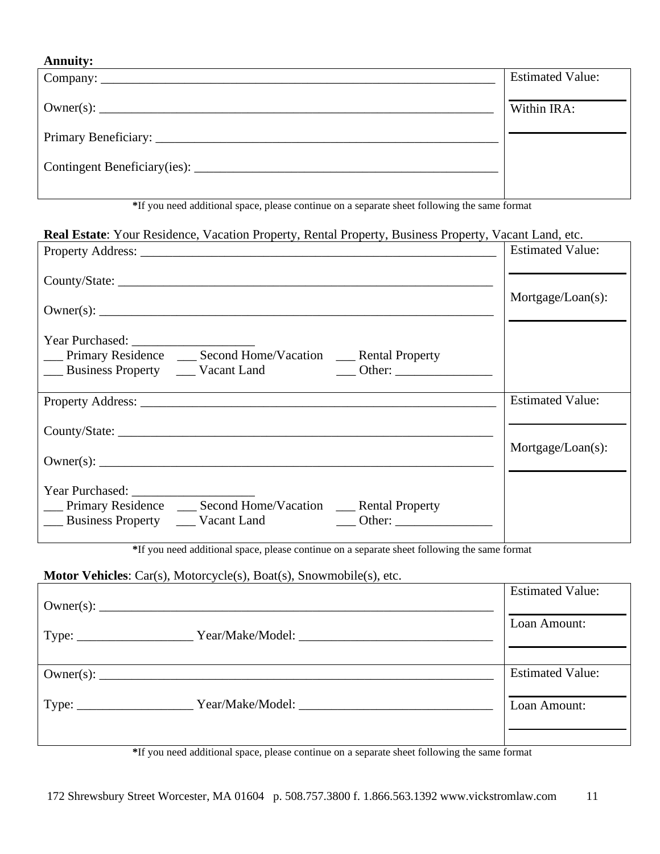### **Annuity:**

| <b>Estimated Value:</b> |
|-------------------------|
| Within IRA:             |
|                         |
|                         |

**\***If you need additional space, please continue on a separate sheet following the same format

#### **Real Estate**: Your Residence, Vacation Property, Rental Property, Business Property, Vacant Land, etc.

|                                                                                                                                                                                                                                                                                                   | <b>Estimated Value:</b> |
|---------------------------------------------------------------------------------------------------------------------------------------------------------------------------------------------------------------------------------------------------------------------------------------------------|-------------------------|
|                                                                                                                                                                                                                                                                                                   |                         |
|                                                                                                                                                                                                                                                                                                   | $Mortgage/Loan(s)$ :    |
| __ Primary Residence __ Second Home/Vacation __ Rental Property<br>Business Property Contract Land Communication Contract Communication Communication Communication Communication Communication Communication Communication Communication Communication Communication Communication Communication |                         |
|                                                                                                                                                                                                                                                                                                   | <b>Estimated Value:</b> |
|                                                                                                                                                                                                                                                                                                   |                         |
|                                                                                                                                                                                                                                                                                                   | $Mortgage/Loan(s)$ :    |
| __ Primary Residence __ Second Home/Vacation __ Rental Property<br>Business Property <u>Conserversion</u> Vacant Land<br>$\overline{\phantom{a}}$ Other:                                                                                                                                          |                         |

**\***If you need additional space, please continue on a separate sheet following the same format

#### **Motor Vehicles**: Car(s), Motorcycle(s), Boat(s), Snowmobile(s), etc.

|                                                                                                          | <b>Estimated Value:</b> |
|----------------------------------------------------------------------------------------------------------|-------------------------|
| Type: _________________________Year/Make/Model: ________________________________                         | Loan Amount:            |
|                                                                                                          | <b>Estimated Value:</b> |
| Type: _______________________Year/Make/Model: __________________________________                         | Loan Amount:            |
| <sup>*</sup> If you need additional gross, places continue on a conquete sheet following the same formet |                         |

**\***If you need additional space, please continue on a separate sheet following the same format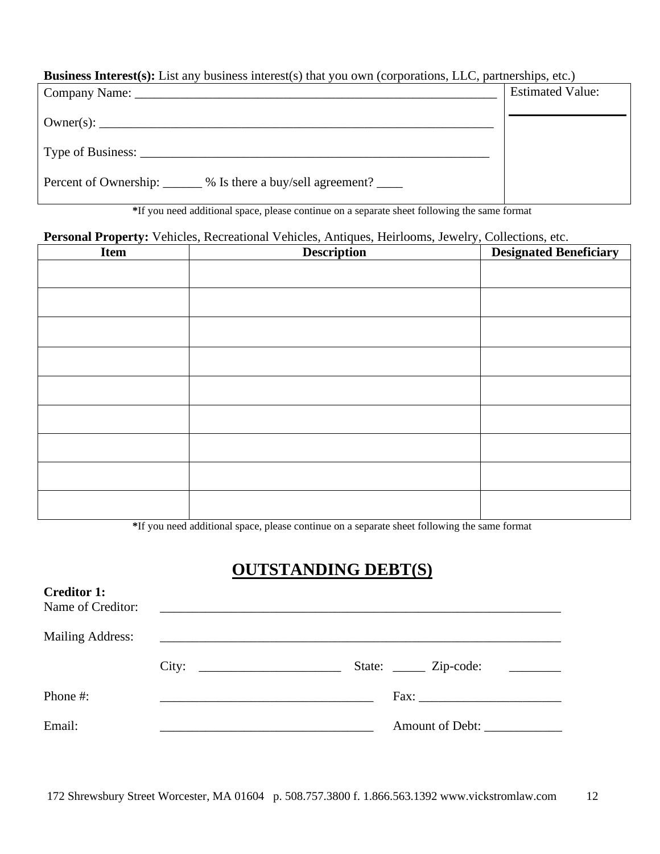**Business Interest(s):** List any business interest(s) that you own (corporations, LLC, partnerships, etc.)

|                                                                     | <b>Estimated Value:</b> |
|---------------------------------------------------------------------|-------------------------|
|                                                                     |                         |
|                                                                     |                         |
| Percent of Ownership: ______ % Is there a buy/sell agreement? _____ |                         |

**\***If you need additional space, please continue on a separate sheet following the same format

## **Personal Property:** Vehicles, Recreational Vehicles, Antiques, Heirlooms, Jewelry, Collections, etc.

| <b>Item</b> | <b>Description</b> | <b>Designated Beneficiary</b> |
|-------------|--------------------|-------------------------------|
|             |                    |                               |
|             |                    |                               |
|             |                    |                               |
|             |                    |                               |
|             |                    |                               |
|             |                    |                               |
|             |                    |                               |
|             |                    |                               |
|             |                    |                               |

**\***If you need additional space, please continue on a separate sheet following the same format

# **OUTSTANDING DEBT(S)**

| <b>Creditor 1:</b><br>Name of Creditor: |                                                                                                                                                                                                                                      |                          |
|-----------------------------------------|--------------------------------------------------------------------------------------------------------------------------------------------------------------------------------------------------------------------------------------|--------------------------|
| <b>Mailing Address:</b>                 | <u> 1988 - Johann Stoff, deutscher Stoffen und der Stoffen und der Stoffen und der Stoffen und der Stoffen und der Stoffen und der Stoffen und der Stoffen und der Stoffen und der Stoffen und der Stoffen und der Stoffen und d</u> |                          |
|                                         | City:                                                                                                                                                                                                                                | State: <u>Zip-code</u> : |
| Phone $#$ :                             |                                                                                                                                                                                                                                      |                          |
| Email:                                  |                                                                                                                                                                                                                                      | Amount of Debt:          |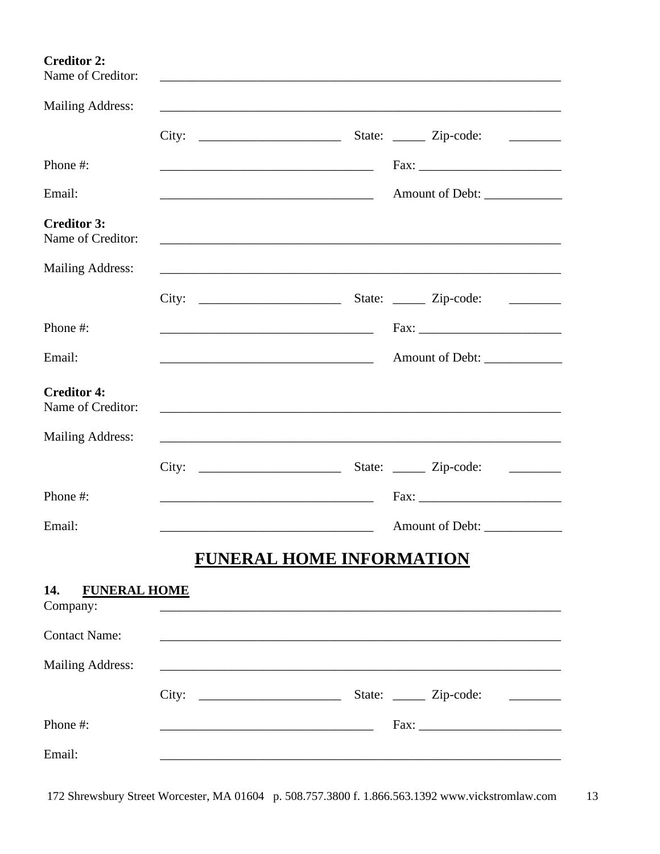| <b>Creditor 2:</b><br>Name of Creditor: |                                               |                                                                                                                                                                                                                                               |  |
|-----------------------------------------|-----------------------------------------------|-----------------------------------------------------------------------------------------------------------------------------------------------------------------------------------------------------------------------------------------------|--|
| <b>Mailing Address:</b>                 |                                               | ,我们也不会有什么。""我们的人,我们也不会有什么?""我们的人,我们也不会有什么?""我们的人,我们的人,我们的人,我们的人,我们的人,我们的人,我们的人,我                                                                                                                                                              |  |
|                                         |                                               | <u> 1999 - Jan Albert III, politik politik (</u>                                                                                                                                                                                              |  |
| Phone #:                                |                                               |                                                                                                                                                                                                                                               |  |
| Email:                                  |                                               |                                                                                                                                                                                                                                               |  |
| <b>Creditor 3:</b><br>Name of Creditor: |                                               | <u> 1989 - Johann Stoff, deutscher Stoff, der Stoff, der Stoff, der Stoff, der Stoff, der Stoff, der Stoff, der S</u>                                                                                                                         |  |
| <b>Mailing Address:</b>                 |                                               |                                                                                                                                                                                                                                               |  |
|                                         |                                               | <u> 1980 - Jan Jawa Barat, prima prima prima prima prima prima prima prima prima prima prima prima prima prima p</u>                                                                                                                          |  |
| Phone #:                                |                                               | Fax: Fax:                                                                                                                                                                                                                                     |  |
| Email:                                  | <u> 2000 - Andrea Andrew Maria (h. 1888).</u> |                                                                                                                                                                                                                                               |  |
| <b>Creditor 4:</b><br>Name of Creditor: |                                               |                                                                                                                                                                                                                                               |  |
| <b>Mailing Address:</b>                 |                                               |                                                                                                                                                                                                                                               |  |
|                                         |                                               | $\label{eq:2} \mathcal{L} = \left\{ \begin{array}{ll} \mathcal{L}^{\text{max}}_{\text{max}} & \mathcal{L}^{\text{max}}_{\text{max}} \\ \mathcal{L}^{\text{max}}_{\text{max}} & \mathcal{L}^{\text{max}}_{\text{max}} \end{array} \right. \ .$ |  |
| Phone #:                                |                                               |                                                                                                                                                                                                                                               |  |
| Email:                                  |                                               |                                                                                                                                                                                                                                               |  |
|                                         | <b>FUNERAL HOME INFORMATION</b>               |                                                                                                                                                                                                                                               |  |
| 14.<br><b>FUNERAL HOME</b><br>Company:  |                                               |                                                                                                                                                                                                                                               |  |
| <b>Contact Name:</b>                    |                                               |                                                                                                                                                                                                                                               |  |
| <b>Mailing Address:</b>                 |                                               |                                                                                                                                                                                                                                               |  |
|                                         |                                               |                                                                                                                                                                                                                                               |  |
| Phone #:                                |                                               |                                                                                                                                                                                                                                               |  |
| Email:                                  |                                               |                                                                                                                                                                                                                                               |  |

172 Shrewsbury Street Worcester, MA 01604 p. 508.757.3800 f. 1.866.563.1392 www.vickstromlaw.com 13